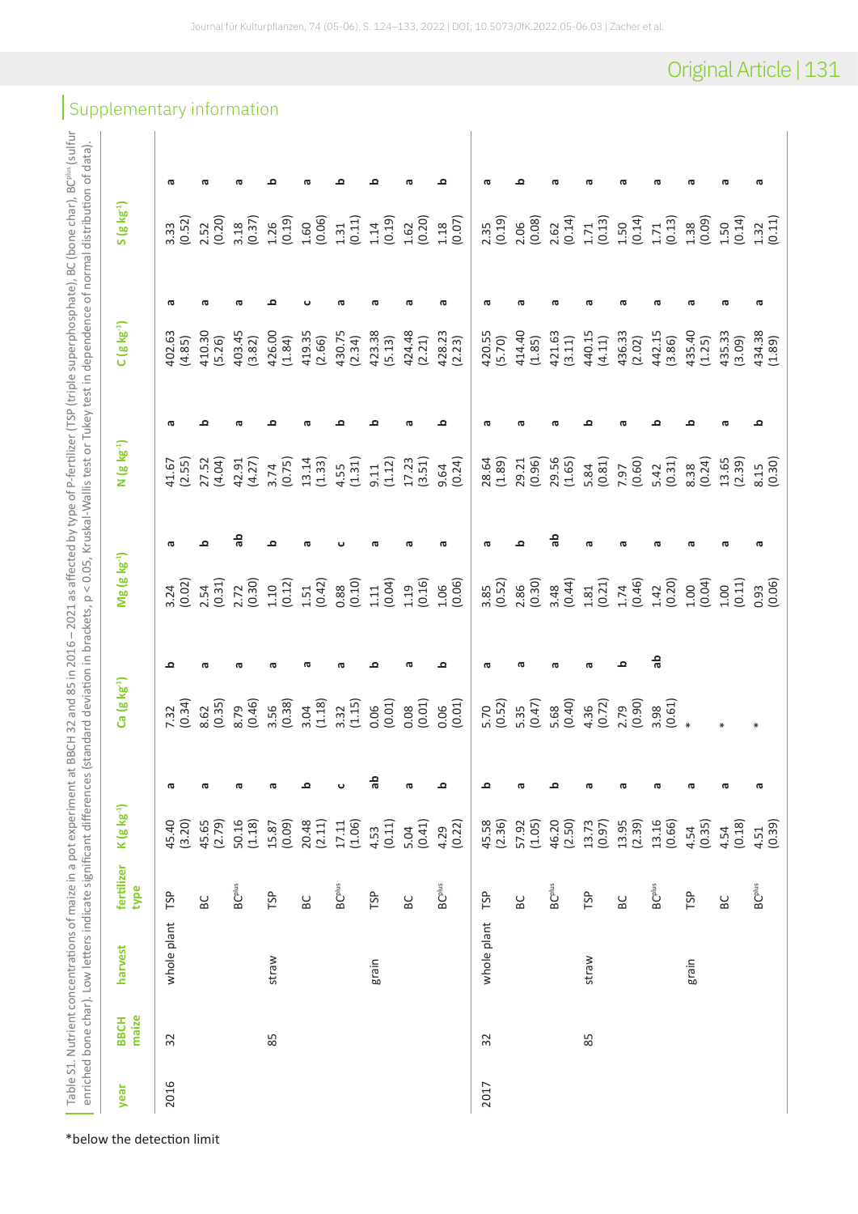| ì<br>ĵ                                                 |                                             |
|--------------------------------------------------------|---------------------------------------------|
| ł                                                      |                                             |
|                                                        | Į<br>ׇ֚֠֕                                   |
|                                                        | $E+E$                                       |
|                                                        |                                             |
| I<br>l<br>J                                            |                                             |
| $\overline{a}$                                         |                                             |
|                                                        | In a provident of the series of the control |
|                                                        |                                             |
| C C C C C                                              |                                             |
|                                                        |                                             |
| is o si                                                |                                             |
| $\left( \frac{1}{2} \right)$ , BC $\left( \nu \right)$ |                                             |
| ļ                                                      |                                             |
| Ĺ                                                      |                                             |
|                                                        | ¢<br>Ś                                      |
|                                                        |                                             |
|                                                        | もくくく                                        |
|                                                        |                                             |
|                                                        |                                             |
| ¢<br>)<br>ś                                            |                                             |
|                                                        |                                             |
| $\frac{1}{2}$                                          | .<br>.<br>.<br>.<br>J                       |
|                                                        | $\overline{2}$<br>J                         |
|                                                        | Ī                                           |
| ¢                                                      |                                             |
|                                                        |                                             |
| Thurlin.                                               | j                                           |
|                                                        |                                             |
|                                                        |                                             |
|                                                        |                                             |
| - - - 1<br>T<br>F<br>F<br>F<br>P<br>                   | ł                                           |
| $\frac{1}{2}$<br>ļ                                     | i                                           |
|                                                        |                                             |
| يسم جيءَ                                               | ۱,                                          |
|                                                        |                                             |
| ť                                                      | $\frac{1}{3}$                               |
|                                                        |                                             |
| )<br>)                                                 | $\overline{\phantom{a}}$                    |
|                                                        |                                             |
|                                                        |                                             |
|                                                        |                                             |
|                                                        |                                             |
| j                                                      |                                             |
| $-2+2$<br>j                                            | $\frac{1}{2}$<br>١                          |
|                                                        | $\ddot{\phantom{0}}$                        |
|                                                        | $\frac{1}{2}$                               |
|                                                        |                                             |
|                                                        |                                             |
|                                                        |                                             |
|                                                        |                                             |
|                                                        |                                             |
| <b>T7N7</b>                                            |                                             |
|                                                        | ickets n                                    |
| $5 - 2021$ as affi                                     | ļ                                           |
| $\frac{1}{2}$                                          | ś                                           |
|                                                        |                                             |
|                                                        |                                             |
|                                                        |                                             |
|                                                        | tin in                                      |
|                                                        |                                             |
|                                                        |                                             |
| 2 and 85 in 201<br>J                                   | . خاص زمان                                  |
|                                                        |                                             |
| j                                                      |                                             |
|                                                        |                                             |
| CCHUD<br>j                                             |                                             |
|                                                        |                                             |
| at Bl                                                  |                                             |
|                                                        | es (standard<br>Ì,<br>$\overline{ }$        |
| ant.                                                   | C<br>d<br>J                                 |
| Ś                                                      | j                                           |
| i<br>Í                                                 | n<br>G<br>⇇                                 |
| ś                                                      | i                                           |
| Ï<br>j                                                 | L                                           |
| Ë<br>j<br>١                                            | ċ<br>۱                                      |
| $\tilde{\sigma}$<br>ţ                                  | ξ                                           |
| $\overline{\phantom{a}}$                               | I                                           |
|                                                        | š<br>ί<br>j<br>١                            |
| $\subseteq$<br>j                                       | ū<br>j                                      |
| ý                                                      | d<br>J                                      |
| $\overline{170}$                                       | ï<br>5                                      |
| leul                                                   | Ē<br>١<br>١                                 |
|                                                        | j                                           |
| ċ<br>ć<br>j                                            |                                             |
|                                                        | $\ddot{\phantom{a}}$                        |
| ă<br>j<br>Į                                            | ă<br>j                                      |
| į<br>j                                                 | É<br>í<br>ď<br>J                            |
|                                                        |                                             |
| enti<br>J                                              | ś<br>$\overline{\phantom{a}}$               |
|                                                        | j                                           |
| onc                                                    |                                             |
| ζ<br>١<br>J                                            | š<br>ā<br>j                                 |
| Ļ                                                      | Ś<br>I                                      |
| ient                                                   | I<br>j                                      |
| i<br>ł<br>J                                            | l                                           |
| ١                                                      | ă<br>$\overline{\phantom{a}}$               |
|                                                        | ζ<br>١                                      |
| ł<br>j                                                 | $\mathbf \zeta$<br>l<br>J                   |
| j                                                      | ś<br>j<br>$\overline{\mathbf{C}}$           |
| ⊇                                                      | į                                           |
| $\frac{a}{c}$<br>Ţ<br>j<br>Í<br>l                      | ċ<br>ì<br>I<br>j                            |

| year | maize<br><b>BBCH</b> | harvest     | fertilizer<br>type        | $(g kg-1)$<br>$\geq$ |    | Ca (g kg <sup>-1</sup> ) |    | <b>Mg (g kg<sup>-1</sup>)</b> |    | N (g kg <sup>-1</sup> ) |    | $C$ (g kg <sup>-1</sup> ) |    | <b>S</b> (g kg <sup>-1</sup> ) |    |
|------|----------------------|-------------|---------------------------|----------------------|----|--------------------------|----|-------------------------------|----|-------------------------|----|---------------------------|----|--------------------------------|----|
| 2016 | 32                   | whole plant | TSP                       | 40<br>(3.20)<br>45.  | σ  | (0.34)<br>7.32           | ء  | $3.24$<br>(0.02)              | σ  | (2.55)<br>41.67         | ᠊ᢐ | 402.63<br>(4.85)          | ᠊ᢐ | $3.33$<br>(0.52)               | ᠊ᢐ |
|      |                      |             | ΒC                        | 45.65<br>(2.79)      | ᡕᢐ | (0.35)<br>8.62           | ൹  | (0.31)<br>2.54                | ء  | 27.52<br>(4.04)         | ء  | 410.30<br>(5.26)          | ᡕᢐ | (0.20)<br>2.52                 | ᡕᢐ |
|      |                      |             | $BC^{plus}$               | 50.16<br>(1.18)      | ᡕᢐ | (0.46)<br>8.79           | ത  | (0.30)<br>2.72                | 윿  | 42.91<br>(4.27)         | ത  | 403.45<br>(3.82)          | ω  | (0.37)<br>3.18                 | ω  |
|      | 85                   | straw       | TSP                       | 15.87<br>(0.09)      | ᠊ᢐ | (0.38)<br>3.56           | σ  | (0.12)<br>1.10                | ≏  | (0.75)<br>3.74          | ൧  | 426.00<br>(1.84)          | ≏  | (0.19)<br>1.26                 | ≏  |
|      |                      |             | $_{\rm BC}$               | 20.48<br>(2.11)      | ء  | (1.18)<br>3.04           | ൹  | (0.42)<br>1.51                | ൹  | 13.14<br>(1.33)         | ത  | 419.35<br>(2.66)          |    | (0.06)<br>1.60                 | ω  |
|      |                      |             | <b>BC<sup>plus</sup></b>  | 17.11<br>(1.06)      | 0  | (1.15)<br>3.32           | ᡴᠦ | (0.10)<br>0.88                |    | (1.31)<br>4.55          | ≏  | 430.75<br>(2.34)          | ᡴᠣ | (0.11)<br>1.31                 | ≏  |
|      |                      | grain       | TSP                       | (0.11)<br>4.53       | 응  | (0.01)<br>0.06           |    | (0.04)<br>$1.11$              | ᡴᠦ | (1.12)<br>9.11          | o  | 423.38<br>(5.13)          | ത  | (0.19)<br>1.14                 | ≏  |
|      |                      |             | $_{\rm BC}$               | (0.41)<br>5.04       | φ  | (0.01)<br>0.08           | ൹  | (0.16)<br>1.19                | ൹  | (3.51)<br>17.23         | ൹  | 424.48<br>(2.21)          | ൹  | (0.20)<br>1.62                 |    |
|      |                      |             | <b>BC</b> <sup>plus</sup> | (0.22)<br>4.29       | ء  | (0.01)<br>0.06           | ≏  | (0.06)<br>1.06                | ൹  | (0.24)<br>9.64          | ء  | 428.23<br>(2.23)          | ᡕᢐ | (0.07)<br>$1.18$               | ≏  |
| 2017 | 32                   | whole plant | TSP                       | 45.58<br>(2.36)      | ء  | (0.52)<br>5.70           | ᢐ  | (0.52)<br>3.85                | ω  | (1.89)<br>28.64         | σ  | 420.55<br>(5.70)          | ᢐ  | (0.19)<br>2.35                 | ᢐ  |
|      |                      |             | $_{\rm BC}$               | 57.92<br>(1.05)      | ᠊ᢐ | $5.35$<br>(0.47)         | σ  | (0.30)<br>2.86                | ഛ  | 29.21<br>(0.96)         | ൹  | 414.40<br>(1.85)          | σ  | (0.08)<br>2.06                 | ≏  |
|      |                      |             | $BC^{bus}$                | 46.20<br>(2.50)      | ء  | (0.40)<br>5.68           | ൹  | $3.48$<br>(0.44)              | 윿  | 29.56<br>(1.65)         | ᡴᠦ | 421.63<br>(3.11)          | ᠭᡦ | (0.14)<br>2.62                 |    |
|      | 85                   | straw       | TSP                       | 13.73<br>(0.97)      | ᠊ᢐ | $4.36$<br>(0.72)         | ൹  | (0.21)<br>$1.81\,$            | π  | (0.81)<br>5.84          | ≏  | 440.15<br>(4.11)          | ᠬᠣ | (0.13)<br>1.71                 |    |
|      |                      |             | $_{\rm B}$                | 13.95<br>(2.39)      | π  | (0.90)<br>2.79           | ء  | (0.46)<br>1.74                | σ  | (0.60)<br>7.97          | ω  | 436.33<br>(2.02)          | ᡴᠦ | (0.14)<br>1.50                 | ᡴᠦ |
|      |                      |             | $BC^{plus}$               | 13.16<br>(0.66)      | ᡕᢐ | $3.98$<br>(0.61)         | 읆  | (0.20)<br>1.42                | ൹  | (0.31)<br>5.42          | ء  | 442.15<br>(3.86)          | æ  | (0.13)<br>1.71                 | π  |
|      |                      | grain       | TSP                       | (0.35)<br>4.54       | ā  |                          |    | (0.04)<br>1.00                | ൹  | (0.24)<br>8.38          | ء  | 435.40<br>(1.25)          | ᡴᠦ | $1.38$<br>(0.09)               | π  |
|      |                      |             | $_{\rm B}$                | (0.18)<br>4.54       | ᡕᢐ |                          |    | (0.11)<br>1.00                | ൹  | 13.65<br>(2.39)         |    | 435.33<br>(3.09)          | ത  | (0.14)<br>1.50                 |    |
|      |                      |             | <b>BC<sup>plus</sup></b>  | (0.39)<br>4.51       | ᠊ᢐ |                          |    | 0.93                          | ൹  | 8.15                    | ء  | 434.38                    | ᡴᠦ | $1.32$<br>(0.11)               |    |

## Supplementary information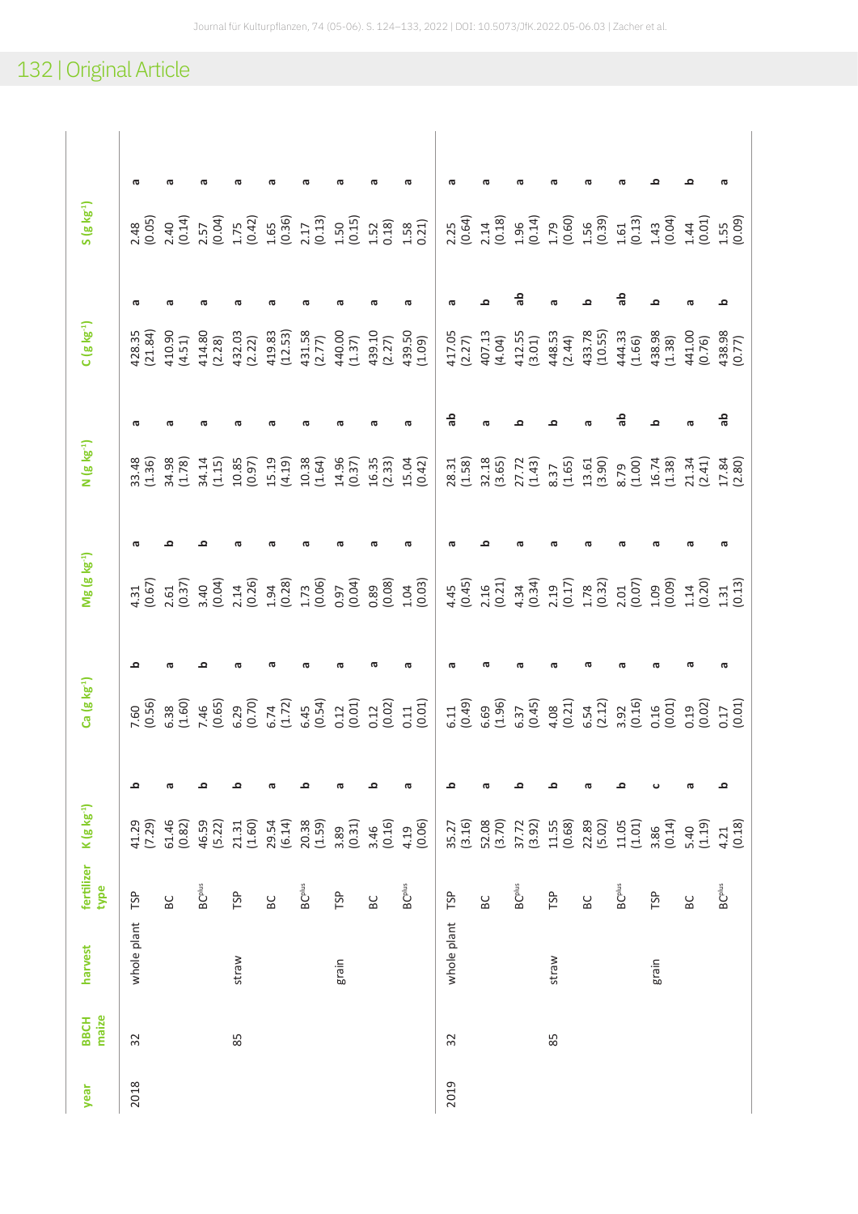## 132 | Original Article

|                            | φ                 |                                    |                          |                    |                    |                          |                  |                     |                          |                  |                                      |                          |                     |                     |                          |                     |                    |                                                             |
|----------------------------|-------------------|------------------------------------|--------------------------|--------------------|--------------------|--------------------------|------------------|---------------------|--------------------------|------------------|--------------------------------------|--------------------------|---------------------|---------------------|--------------------------|---------------------|--------------------|-------------------------------------------------------------|
| $S(g \mid g^{-1})$         |                   | $2.48$<br>(0.05)<br>2.40<br>(0.14) | $2.57$<br>(0.04)         | $1.75$<br>(0.42)   | $1.65$<br>$(0.36)$ | (0.13)<br>2.17           | $1.50$<br>(0.15) | $1.52$<br>$0.18$    | $1.58$<br>$0.21)$        |                  | $2.25$<br>(0.64)<br>$2.14$<br>(0.18) | $1.96$<br>(0.14)         | $1.79$<br>(0.60)    | $1.56$<br>(0.39)    | $1.61$<br>$(0.13)$       | $1.43$<br>(0.04)    |                    | $\begin{array}{c} 1.44 \\ 0.01 \\ 1.55 \\ 0.09 \end{array}$ |
|                            | ω                 |                                    |                          |                    |                    |                          |                  |                     |                          |                  |                                      | 읆                        | ൹                   | ≏                   | 응                        | ≏                   |                    | ≏                                                           |
| $C$ (g kg <sup>-1</sup> )  | 428.35<br>(21.84) | 410.90<br>(4.51)                   | 414.80<br>(2.28)         | 432.03<br>(2.22)   | 419.83<br>(12.53)  | 431.58<br>(2.77)         | 440.00<br>(1.37) | 439.10<br>(2.27)    | 439.50<br>(1.09)         | 417.05<br>(2.27) | 407.13                               | 412.55<br>(3.01)         | 448.53<br>(2.44)    | 433.78<br>(10.55)   | 444.33<br>(1.66)         | 438.98<br>(1.38)    | 441.00<br>(0.76)   | 438.98                                                      |
|                            | ᡴᠦ                |                                    |                          |                    |                    |                          |                  |                     |                          | ခု               |                                      |                          |                     |                     | ခု                       | ۰                   |                    | de<br>a                                                     |
| N (g kg <sup>-1</sup> )    | 33.48<br>(1.36)   | 34.98<br>(1.78)                    | 34.14<br>(1.15)          | (0.85)             | 15.19<br>(4.19)    | $10.38$<br>$(1.64)$      | 14.96<br>(0.37)  | $16.35$<br>$(2.33)$ | 15.04<br>(0.42)          | 28.31<br>(1.58)  | 32.18<br>(3.65)                      | 27.72<br>(1.43)          | $8.37$<br>(1.65)    | $13.61$<br>$(3.90)$ | $6.79$<br>(1.00)         | $16.74$<br>$(1.38)$ |                    | $21.34$<br>$(2.41)$<br>$17.84$<br>$(2.80)$                  |
|                            |                   |                                    |                          |                    |                    |                          |                  |                     |                          |                  |                                      |                          |                     |                     |                          |                     |                    | ᢐ                                                           |
| $Mg$ (g kg <sup>-1</sup> ) | $4.31$<br>(0.67)  | $2.61$<br>$(0.37)$                 | $3.40$<br>$(0.04)$       | $2.14$<br>(0.26)   | $1.94$<br>(0.28)   | (0.06)<br>1.73           | (0.04)<br>0.97   | (6.08)              | $1.04$<br>$(0.03)$       | (0.45)<br>4.45   | $2.16$<br>(0.21)                     | $4.34$<br>(0.34)         | $2.19$<br>(0.17)    | $1.78$<br>(0.32)    | $2.01$<br>$(0.07)$       | (60.01)             | $1.14$<br>$(0.20)$ | $1.31$<br>$(0.13)$                                          |
|                            | ء                 |                                    |                          |                    |                    |                          |                  |                     |                          | ಗಾ               |                                      |                          |                     |                     |                          |                     |                    | ᢐ                                                           |
| Ca (g kg <sup>-1</sup> )   | (0.56)<br>7.60    | $6.38$<br>(1.60)                   | 7.46<br>(0.65)           | $6.29$<br>$(0.70)$ | $6.74$<br>(1.72)   | $6.45$<br>(0.54)         | (0.01)<br>0.12   | (0.12)              | $\frac{0.11}{0.01}$      | (0.49)<br>6.11   | $6.69$<br>$(1.96)$                   | $6.37$<br>(0.45)         | $4.08$<br>(0.21)    | $6.54$<br>(2.12)    | $3.92$<br>(0.16)         | (0.16)              | (0.19)             | (0.17)                                                      |
|                            | ء                 | σ                                  | ء                        | ء                  | σ                  | ء                        | σ                | ء                   | Ф                        | ء                | ā                                    | ء                        | ء                   | æ                   | ء                        | ပ                   | ā                  | ء                                                           |
| $K$ (g $kg^{-1}$ )         | 41.29<br>(7.29)   | 61.46<br>(0.82)                    | 46.59<br>(5.22)          | (1.60)<br>21.31    | 29.54<br>(6.14)    | 20.38                    | (0.31)<br>3.89   | (0.16)<br>3.46      | (0.06)<br>4.19           | (3.16)<br>35.27  | 52.08<br>(3.70)                      | 37.72<br>(3.92)          | $11.55$<br>$(0.68)$ | 22.89<br>(5.02)     | 11.05<br>(1.01)          | (0.14)<br>3.86      | (1.19)<br>5.40     | (0.18)<br>4.21                                              |
| fertilizer<br>type         | TSP               | BC                                 | <b>BC<sup>plus</sup></b> | TSP                | BC                 | <b>BC<sup>plus</sup></b> | TSP              | BC                  | <b>BC<sup>plus</sup></b> | TSP              | BC                                   | <b>BC<sup>plus</sup></b> | TSP                 | BC                  | <b>BC<sup>plus</sup></b> | TSP                 | ΒC                 | <b>BC</b> plus                                              |
| harvest                    | whole plant       |                                    |                          | straw              |                    |                          | grain            |                     |                          | whole plant      |                                      |                          | straw               |                     |                          | grain               |                    |                                                             |
| maize<br>BBCH              | 32                |                                    |                          | 85                 |                    |                          |                  |                     |                          | 32               |                                      |                          | 85                  |                     |                          |                     |                    |                                                             |
| year                       | 2018              |                                    |                          |                    |                    |                          |                  |                     |                          | 2019             |                                      |                          |                     |                     |                          |                     |                    |                                                             |